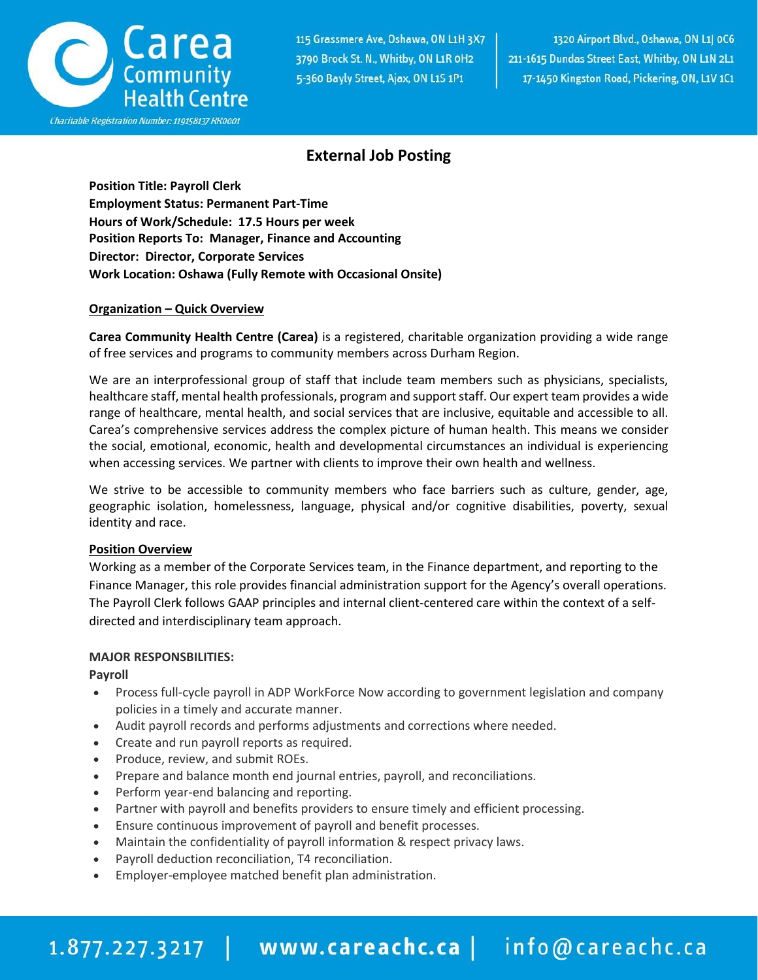

# **External Job Posting**

**Position Title: Payroll Clerk Employment Status: Permanent Part-Time Hours of Work/Schedule: 17.5 Hours per week Position Reports To: Manager, Finance and Accounting Director: Director, Corporate Services Work Location: Oshawa (Fully Remote with Occasional Onsite)**

## **Organization – Quick Overview**

**Carea Community Health Centre (Carea)** is a registered, charitable organization providing a wide range of free services and programs to community members across Durham Region.

We are an interprofessional group of staff that include team members such as physicians, specialists, healthcare staff, mental health professionals, program and support staff. Our expert team provides a wide range of healthcare, mental health, and social services that are inclusive, equitable and accessible to all. Carea's comprehensive services address the complex picture of human health. This means we consider the social, emotional, economic, health and developmental circumstances an individual is experiencing when accessing services. We partner with clients to improve their own health and wellness.

We strive to be accessible to community members who face barriers such as culture, gender, age, geographic isolation, homelessness, language, physical and/or cognitive disabilities, poverty, sexual identity and race.

## **Position Overview**

Working as a member of the Corporate Services team, in the Finance department, and reporting to the Finance Manager, this role provides financial administration support for the Agency's overall operations. The Payroll Clerk follows GAAP principles and internal client-centered care within the context of a selfdirected and interdisciplinary team approach.

# **MAJOR RESPONSBILITIES:**

**Payroll**

- Process full-cycle payroll in ADP WorkForce Now according to government legislation and company policies in a timely and accurate manner.
- Audit payroll records and performs adjustments and corrections where needed.
- Create and run payroll reports as required.
- Produce, review, and submit ROEs.
- Prepare and balance month end journal entries, payroll, and reconciliations.
- Perform year-end balancing and reporting.
- Partner with payroll and benefits providers to ensure timely and efficient processing.
- Ensure continuous improvement of payroll and benefit processes.
- Maintain the confidentiality of payroll information & respect privacy laws.
- Payroll deduction reconciliation, T4 reconciliation.
- Employer-employee matched benefit plan administration.

# 1.877.227.3217 | www.careachc.ca | info@careachc.ca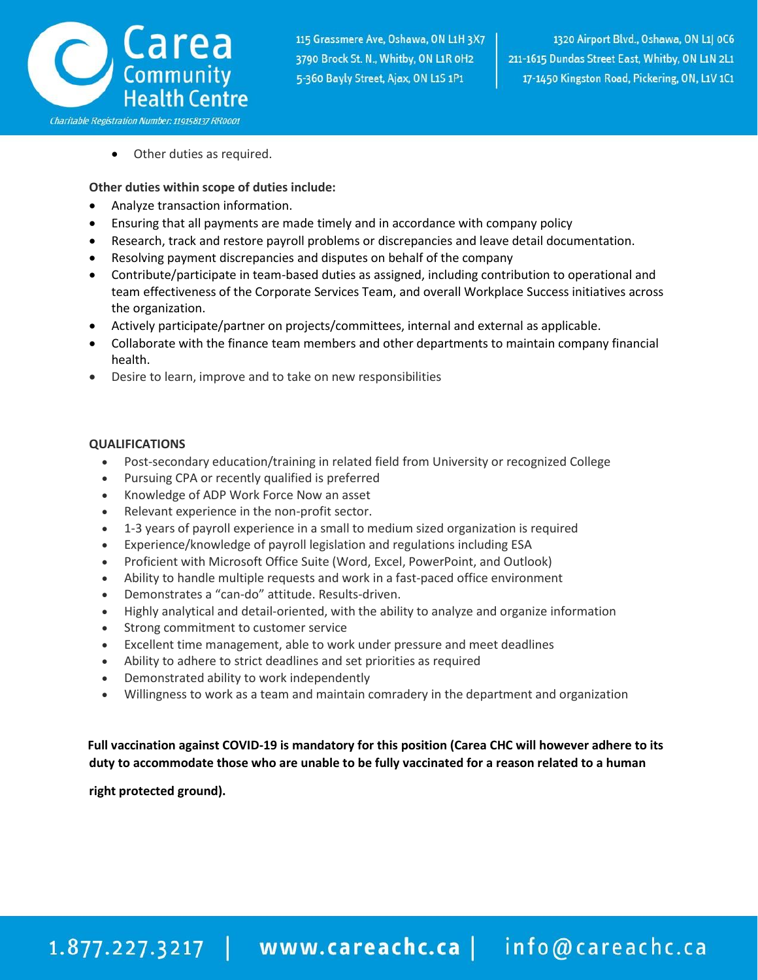

115 Grassmere Ave, Oshawa, ON L1H 3X7 3790 Brock St. N., Whitby, ON L1R 0H2 5-360 Bayly Street, Ajax, ON L1S 1P1

1320 Airport Blvd., Oshawa, ON L1| 0C6 211-1615 Dundas Street East, Whitby, ON L1N 2L1 17-1450 Kingston Road, Pickering, ON, L1V 1C1

• Other duties as required.

**Other duties within scope of duties include:**

- Analyze transaction information.
- Ensuring that all payments are made timely and in accordance with company policy
- Research, track and restore payroll problems or discrepancies and leave detail documentation.
- Resolving payment discrepancies and disputes on behalf of the company
- Contribute/participate in team-based duties as assigned, including contribution to operational and team effectiveness of the Corporate Services Team, and overall Workplace Success initiatives across the organization.
- Actively participate/partner on projects/committees, internal and external as applicable.
- Collaborate with the finance team members and other departments to maintain company financial health.
- Desire to learn, improve and to take on new responsibilities

#### **QUALIFICATIONS**

- Post-secondary education/training in related field from University or recognized College
- Pursuing CPA or recently qualified is preferred
- Knowledge of ADP Work Force Now an asset
- Relevant experience in the non-profit sector.
- 1-3 years of payroll experience in a small to medium sized organization is required
- Experience/knowledge of payroll legislation and regulations including ESA
- Proficient with Microsoft Office Suite (Word, Excel, PowerPoint, and Outlook)
- Ability to handle multiple requests and work in a fast-paced office environment
- Demonstrates a "can-do" attitude. Results-driven.
- Highly analytical and detail-oriented, with the ability to analyze and organize information
- Strong commitment to customer service
- Excellent time management, able to work under pressure and meet deadlines
- Ability to adhere to strict deadlines and set priorities as required
- Demonstrated ability to work independently
- Willingness to work as a team and maintain comradery in the department and organization

 **Full vaccination against COVID-19 is mandatory for this position (Carea CHC will however adhere to its duty to accommodate those who are unable to be fully vaccinated for a reason related to a human** 

**right protected ground).**